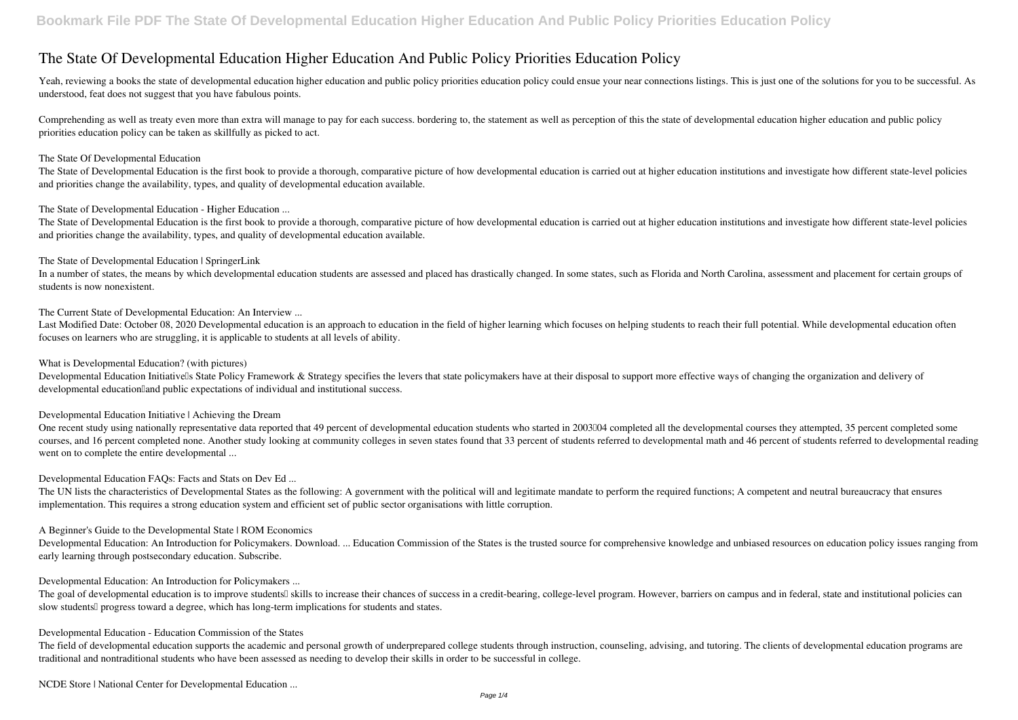# **The State Of Developmental Education Higher Education And Public Policy Priorities Education Policy**

Yeah, reviewing a books the state of developmental education higher education and public policy priorities education policy could ensue your near connections listings. This is just one of the solutions for you to be succes understood, feat does not suggest that you have fabulous points.

The State of Developmental Education is the first book to provide a thorough, comparative picture of how developmental education is carried out at higher education institutions and investigate how different state-level pol and priorities change the availability, types, and quality of developmental education available.

Comprehending as well as treaty even more than extra will manage to pay for each success. bordering to, the statement as well as perception of this the state of developmental education higher education and public policy priorities education policy can be taken as skillfully as picked to act.

The State of Developmental Education is the first book to provide a thorough, comparative picture of how developmental education is carried out at higher education institutions and investigate how different state-level pol and priorities change the availability, types, and quality of developmental education available.

### *The State Of Developmental Education*

Last Modified Date: October 08, 2020 Developmental education is an approach to education in the field of higher learning which focuses on helping students to reach their full potential. While developmental education often focuses on learners who are struggling, it is applicable to students at all levels of ability.

*The State of Developmental Education - Higher Education ...*

One recent study using nationally representative data reported that 49 percent of developmental education students who started in 200304 completed all the developmental courses they attempted, 35 percent completed some courses, and 16 percent completed none. Another study looking at community colleges in seven states found that 33 percent of students referred to developmental math and 46 percent of students referred to developmental read went on to complete the entire developmental ...

### *The State of Developmental Education | SpringerLink*

In a number of states, the means by which developmental education students are assessed and placed has drastically changed. In some states, such as Florida and North Carolina, assessment and placement for certain groups of students is now nonexistent.

The UN lists the characteristics of Developmental States as the following: A government with the political will and legitimate mandate to perform the required functions; A competent and neutral bureaucracy that ensures implementation. This requires a strong education system and efficient set of public sector organisations with little corruption.

*The Current State of Developmental Education: An Interview ...*

*What is Developmental Education? (with pictures)*

Developmental Education Initiativells State Policy Framework & Strategy specifies the levers that state policymakers have at their disposal to support more effective ways of changing the organization and delivery of developmental education and public expectations of individual and institutional success.

*Developmental Education Initiative | Achieving the Dream*

*Developmental Education FAQs: Facts and Stats on Dev Ed ...*

*A Beginner's Guide to the Developmental State | ROM Economics*

Developmental Education: An Introduction for Policymakers. Download. ... Education Commission of the States is the trusted source for comprehensive knowledge and unbiased resources on education policy issues ranging from early learning through postsecondary education. Subscribe.

*Developmental Education: An Introduction for Policymakers ...*

The goal of developmental education is to improve studentsl skills to increase their chances of success in a credit-bearing, college-level program. However, barriers on campus and in federal, state and institutional polici slow students<sup>[]</sup> progress toward a degree, which has long-term implications for students and states.

*Developmental Education - Education Commission of the States*

The field of developmental education supports the academic and personal growth of underprepared college students through instruction, counseling, advising, and tutoring. The clients of developmental education programs are traditional and nontraditional students who have been assessed as needing to develop their skills in order to be successful in college.

*NCDE Store | National Center for Developmental Education ...*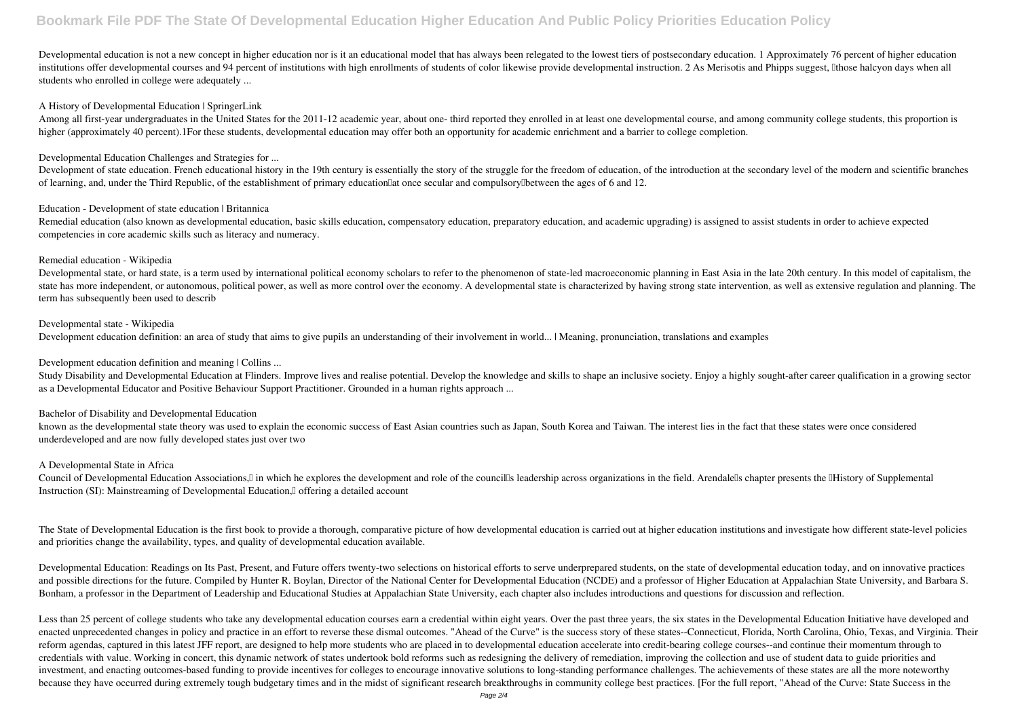Developmental education is not a new concept in higher education nor is it an educational model that has always been relegated to the lowest tiers of postsecondary education. 1 Approximately 76 percent of higher education institutions offer developmental courses and 94 percent of institutions with high enrollments of students of color likewise provide developmental instruction. 2 As Merisotis and Phipps suggest, [Ithose halcyon days when al students who enrolled in college were adequately ...

#### *A History of Developmental Education | SpringerLink*

Among all first-year undergraduates in the United States for the 2011-12 academic year, about one- third reported they enrolled in at least one developmental course, and among community college students, this proportion is higher (approximately 40 percent).1For these students, developmental education may offer both an opportunity for academic enrichment and a barrier to college completion.

# *Developmental Education Challenges and Strategies for ...*

Development of state education. French educational history in the 19th century is essentially the story of the struggle for the freedom of education, of the introduction at the secondary level of the modern and scientific of learning, and, under the Third Republic, of the establishment of primary education at once secular and compulsory under the ages of 6 and 12.

Developmental state, or hard state, is a term used by international political economy scholars to refer to the phenomenon of state-led macroeconomic planning in East Asia in the late 20th century. In this model of capitali state has more independent, or autonomous, political power, as well as more control over the economy. A developmental state is characterized by having strong state intervention, as well as extensive regulation and planning term has subsequently been used to describ

Study Disability and Developmental Education at Flinders. Improve lives and realise potential. Develop the knowledge and skills to shape an inclusive society. Enjoy a highly sought-after career qualification in a growing s as a Developmental Educator and Positive Behaviour Support Practitioner. Grounded in a human rights approach ...

### *Education - Development of state education | Britannica*

Remedial education (also known as developmental education, basic skills education, compensatory education, preparatory education, and academic upgrading) is assigned to assist students in order to achieve expected competencies in core academic skills such as literacy and numeracy.

### *Remedial education - Wikipedia*

The State of Developmental Education is the first book to provide a thorough, comparative picture of how developmental education is carried out at higher education institutions and investigate how different state-level pol and priorities change the availability, types, and quality of developmental education available.

Developmental Education: Readings on Its Past, Present, and Future offers twenty-two selections on historical efforts to serve underprepared students, on the state of developmental education today, and on innovative practi and possible directions for the future. Compiled by Hunter R. Boylan, Director of the National Center for Developmental Education (NCDE) and a professor of Higher Education at Appalachian State University, and Barbara S. Bonham, a professor in the Department of Leadership and Educational Studies at Appalachian State University, each chapter also includes introductions and questions for discussion and reflection.

### *Developmental state - Wikipedia*

Development education definition: an area of study that aims to give pupils an understanding of their involvement in world... | Meaning, pronunciation, translations and examples

### *Development education definition and meaning | Collins ...*

Less than 25 percent of college students who take any developmental education courses earn a credential within eight years. Over the past three years, the six states in the Developmental Education Initiative have developed enacted unprecedented changes in policy and practice in an effort to reverse these dismal outcomes. "Ahead of the Curve" is the success story of these states--Connecticut, Florida, North Carolina, Ohio, Texas, and Virginia reform agendas, captured in this latest JFF report, are designed to help more students who are placed in to developmental education accelerate into credit-bearing college courses--and continue their momentum through to credentials with value. Working in concert, this dynamic network of states undertook bold reforms such as redesigning the delivery of remediation, improving the collection and use of student data to guide priorities and investment, and enacting outcomes-based funding to provide incentives for colleges to encourage innovative solutions to long-standing performance challenges. The achievements of these states are all the more noteworthy because they have occurred during extremely tough budgetary times and in the midst of significant research breakthroughs in community college best practices. [For the full report, "Ahead of the Curve: State Success in the

#### *Bachelor of Disability and Developmental Education*

known as the developmental state theory was used to explain the economic success of East Asian countries such as Japan, South Korea and Taiwan. The interest lies in the fact that these states were once considered underdeveloped and are now fully developed states just over two

# *A Developmental State in Africa*

Council of Developmental Education Associations,<sup>[]</sup> in which he explores the development and role of the councills leadership across organizations in the field. Arendalells chapter presents the IHistory of Supplemental Instruction (SI): Mainstreaming of Developmental Education, I offering a detailed account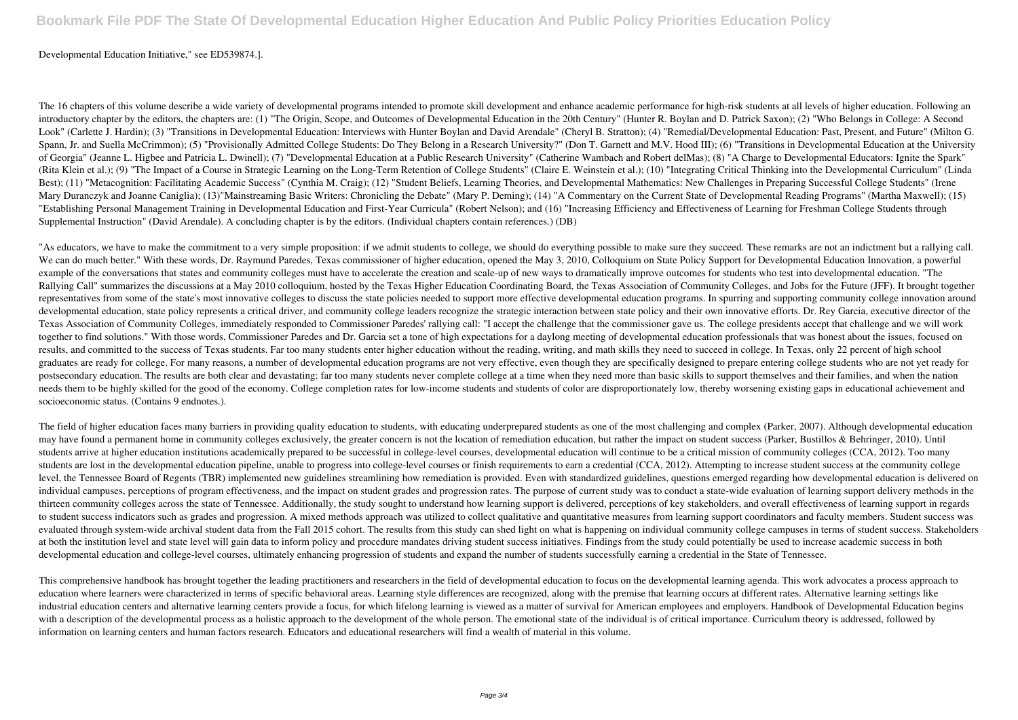# Developmental Education Initiative," see ED539874.].

The 16 chapters of this volume describe a wide variety of developmental programs intended to promote skill development and enhance academic performance for high-risk students at all levels of higher education. Following an introductory chapter by the editors, the chapters are: (1) "The Origin, Scope, and Outcomes of Developmental Education in the 20th Century" (Hunter R. Boylan and D. Patrick Saxon); (2) "Who Belongs in College: A Second Look" (Carlette J. Hardin); (3) "Transitions in Developmental Education: Interviews with Hunter Boylan and David Arendale" (Cheryl B. Stratton); (4) "Remedial/Developmental Education: Past, Present, and Future" (Milton G. Spann, Jr. and Suella McCrimmon); (5) "Provisionally Admitted College Students: Do They Belong in a Research University?" (Don T. Garnett and M.V. Hood III); (6) "Transitions in Developmental Education at the University of Georgia" (Jeanne L. Higbee and Patricia L. Dwinell); (7) "Developmental Education at a Public Research University" (Catherine Wambach and Robert delMas); (8) "A Charge to Developmental Educators: Ignite the Spark" (Rita Klein et al.); (9) "The Impact of a Course in Strategic Learning on the Long-Term Retention of College Students" (Claire E. Weinstein et al.); (10) "Integrating Critical Thinking into the Developmental Curriculum" (L Best); (11) "Metacognition: Facilitating Academic Success" (Cynthia M. Craig); (12) "Student Beliefs, Learning Theories, and Developmental Mathematics: New Challenges in Preparing Successful College Students" (Irene Mary Duranczyk and Joanne Caniglia); (13)"Mainstreaming Basic Writers: Chronicling the Debate" (Mary P. Deming); (14) "A Commentary on the Current State of Developmental Reading Programs" (Martha Maxwell); (15) "Establishing Personal Management Training in Developmental Education and First-Year Curricula" (Robert Nelson); and (16) "Increasing Efficiency and Effectiveness of Learning for Freshman College Students through Supplemental Instruction" (David Arendale). A concluding chapter is by the editors. (Individual chapters contain references.) (DB)

"As educators, we have to make the commitment to a very simple proposition: if we admit students to college, we should do everything possible to make sure they succeed. These remarks are not an indictment but a rallying ca We can do much better." With these words, Dr. Raymund Paredes, Texas commissioner of higher education, opened the May 3, 2010, Colloquium on State Policy Support for Developmental Education Innovation, a powerful example of the conversations that states and community colleges must have to accelerate the creation and scale-up of new ways to dramatically improve outcomes for students who test into developmental education. "The Rallying Call" summarizes the discussions at a May 2010 colloquium, hosted by the Texas Higher Education Coordinating Board, the Texas Association of Community Colleges, and Jobs for the Future (JFF). It brought together representatives from some of the state's most innovative colleges to discuss the state policies needed to support more effective developmental education programs. In spurring and supporting community college innovation aro developmental education, state policy represents a critical driver, and community college leaders recognize the strategic interaction between state policy and their own innovative efforts. Dr. Rey Garcia, executive directo Texas Association of Community Colleges, immediately responded to Commissioner Paredes' rallying call: "I accept the challenge that the commissioner gave us. The college presidents accept that challenge and we will work together to find solutions." With those words, Commissioner Paredes and Dr. Garcia set a tone of high expectations for a daylong meeting of developmental education professionals that was honest about the issues, focused on results, and committed to the success of Texas students. Far too many students enter higher education without the reading, writing, and math skills they need to succeed in college. In Texas, only 22 percent of high school graduates are ready for college. For many reasons, a number of developmental education programs are not very effective, even though they are specifically designed to prepare entering college students who are not yet ready postsecondary education. The results are both clear and devastating: far too many students never complete college at a time when they need more than basic skills to support themselves and their families, and when the nation needs them to be highly skilled for the good of the economy. College completion rates for low-income students and students of color are disproportionately low, thereby worsening existing gaps in educational achievement and socioeconomic status. (Contains 9 endnotes.).

The field of higher education faces many barriers in providing quality education to students, with educating underprepared students as one of the most challenging and complex (Parker, 2007). Although developmental educatio may have found a permanent home in community colleges exclusively, the greater concern is not the location of remediation education, but rather the impact on student success (Parker, Bustillos & Behringer, 2010). Until students arrive at higher education institutions academically prepared to be successful in college-level courses, developmental education will continue to be a critical mission of community colleges (CCA, 2012). Too many students are lost in the developmental education pipeline, unable to progress into college-level courses or finish requirements to earn a credential (CCA, 2012). Attempting to increase student success at the community coll level, the Tennessee Board of Regents (TBR) implemented new guidelines streamlining how remediation is provided. Even with standardized guidelines, questions emerged regarding how developmental education is delivered on individual campuses, perceptions of program effectiveness, and the impact on student grades and progression rates. The purpose of current study was to conduct a state-wide evaluation of learning support delivery methods in thirteen community colleges across the state of Tennessee. Additionally, the study sought to understand how learning support is delivered, perceptions of key stakeholders, and overall effectiveness of learning support in r to student success indicators such as grades and progression. A mixed methods approach was utilized to collect qualitative and quantitative measures from learning support coordinators and faculty members. Student success was evaluated through system-wide archival student data from the Fall 2015 cohort. The results from this study can shed light on what is happening on individual community college campuses in terms of student success. Stakehold at both the institution level and state level will gain data to inform policy and procedure mandates driving student success initiatives. Findings from the study could potentially be used to increase academic success in both developmental education and college-level courses, ultimately enhancing progression of students and expand the number of students successfully earning a credential in the State of Tennessee.

This comprehensive handbook has brought together the leading practitioners and researchers in the field of developmental education to focus on the developmental learning agenda. This work advocates a process approach to education where learners were characterized in terms of specific behavioral areas. Learning style differences are recognized, along with the premise that learning occurs at different rates. Alternative learning settings like industrial education centers and alternative learning centers provide a focus, for which lifelong learning is viewed as a matter of survival for American employees and employers. Handbook of Developmental Education begins with a description of the developmental process as a holistic approach to the development of the whole person. The emotional state of the individual is of critical importance. Curriculum theory is addressed, followed by information on learning centers and human factors research. Educators and educational researchers will find a wealth of material in this volume.